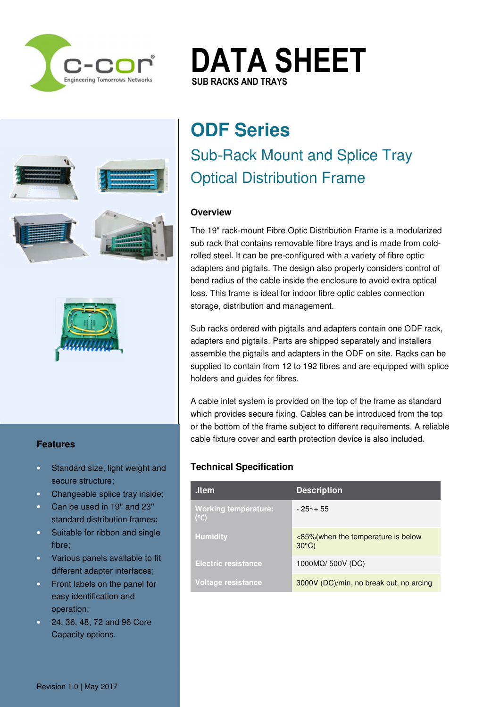

# **DATA SHEET SUB RACKS AND TRAYS SUB RACKS AND TRAYS**

Mulgrave VIC 3170 Australia T. +61 3 8542 0600  $\mathbf{f}$ E. sales@c-cor.com.au  $\blacksquare$ Regional Representation Pakistan / Korea



### **Features**

- Standard size, light weight and secure structure;
- Changeable splice tray inside;
- Can be used in 19'' and 23'' standard distribution frames;
- Suitable for ribbon and single fibre;
- Various panels available to fit different adapter interfaces;
- Front labels on the panel for easy identification and operation;
- 24, 36, 48, 72 and 96 Core Capacity options.

# **ODF Series**  Sub-Rack Mount and Splice Tray Optical Distribution Frame

## **Overview**

The 19" rack-mount Fibre Optic Distribution Frame is a modularized sub rack that contains removable fibre trays and is made from coldrolled steel. It can be pre-configured with a variety of fibre optic adapters and pigtails. The design also properly considers control of bend radius of the cable inside the enclosure to avoid extra optical loss. This frame is ideal for indoor fibre optic cables connection storage, distribution and management.

Sub racks ordered with pigtails and adapters contain one ODF rack, adapters and pigtails. Parts are shipped separately and installers assemble the pigtails and adapters in the ODF on site. Racks can be supplied to contain from 12 to 192 fibres and are equipped with splice holders and guides for fibres.

A cable inlet system is provided on the top of the frame as standard which provides secure fixing. Cables can be introduced from the top or the bottom of the frame subject to different requirements. A reliable cable fixture cover and earth protection device is also included.

## **Technical Specification**

| ltem.                                        | <b>Description</b>                                     |
|----------------------------------------------|--------------------------------------------------------|
| <b>Working temperature:</b><br>$(^{\circ}C)$ | - 25~+ 55                                              |
| <b>Humidity</b>                              | <85% (when the temperature is below<br>$30^{\circ}$ C) |
| <b>Electric resistance</b>                   | 1000 $M\Omega$ / 500V (DC)                             |
| Voltage resistance                           | 3000V (DC)/min, no break out, no arcing                |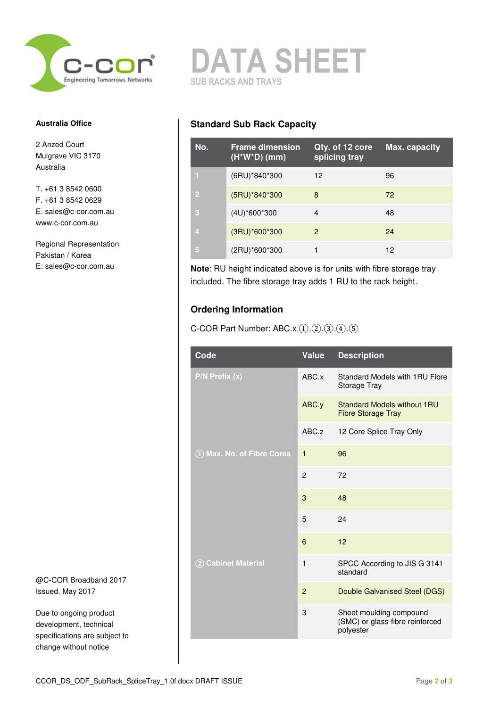

### **Australia Office**

2 Anzed Court Mulgrave VIC 3170 Australia

T. +61 3 8542 0600 F. +61 3 8542 0629 E. sales@c-cor.com.au www.c-cor.com.au

Regional Representation Pakistan / Korea E: sales@c-cor.com.au

@C-COR Broadband 2017 Issued. May 2017

Due to ongoing product development, technical specifications are subject to change without notice

**DATA SHEET SUB RACKS AND TRAYS** 

## **Standard Sub Rack Capacity**

| No.            | <b>Frame dimension</b><br>$(H^*W^*D)$ (mm) | Qty. of 12 core<br>splicing tray | Max. capacity |
|----------------|--------------------------------------------|----------------------------------|---------------|
| $\mathbf{I}$   | (6RU)*840*300                              | 12                               | 96            |
| $\overline{2}$ | (5RU)*840*300                              | 8                                | 72            |
| -3             | $(4U)^*600^*300$                           | 4                                | 48            |
| $\overline{A}$ | (3RU)*600*300                              | 2                                | 24            |
| 15             | (2RU)*600*300                              |                                  | 12            |

**Note**: RU height indicated above is for units with fibre storage tray included. The fibre storage tray adds 1 RU to the rack height.

## **Ordering Information**

C-COR Part Number:  $ABC.x.(1).(2).(3).(4).(5)$ 

| Code                       | Value          | <b>Description</b>                                                      |
|----------------------------|----------------|-------------------------------------------------------------------------|
| $P/N$ Prefix $(x)$         | ABC.x          | Standard Models with 1RU Fibre<br>Storage Tray                          |
|                            | ABC.y          | Standard Models without 1RU<br><b>Fibre Storage Tray</b>                |
|                            | ABC.z          | 12 Core Splice Tray Only                                                |
| 1) Max. No. of Fibre Cores | $\mathbf{1}$   | 96                                                                      |
|                            | $\overline{2}$ | 72                                                                      |
|                            | 3              | 48                                                                      |
|                            | 5              | 24                                                                      |
|                            | 6              | 12                                                                      |
| 2 Cabinet Material         | $\mathbf{1}$   | SPCC According to JIS G 3141<br>standard                                |
|                            | $\mathbf{P}$   | Double Galvanised Steel (DGS)                                           |
|                            | 3              | Sheet moulding compound<br>(SMC) or glass-fibre reinforced<br>polyester |